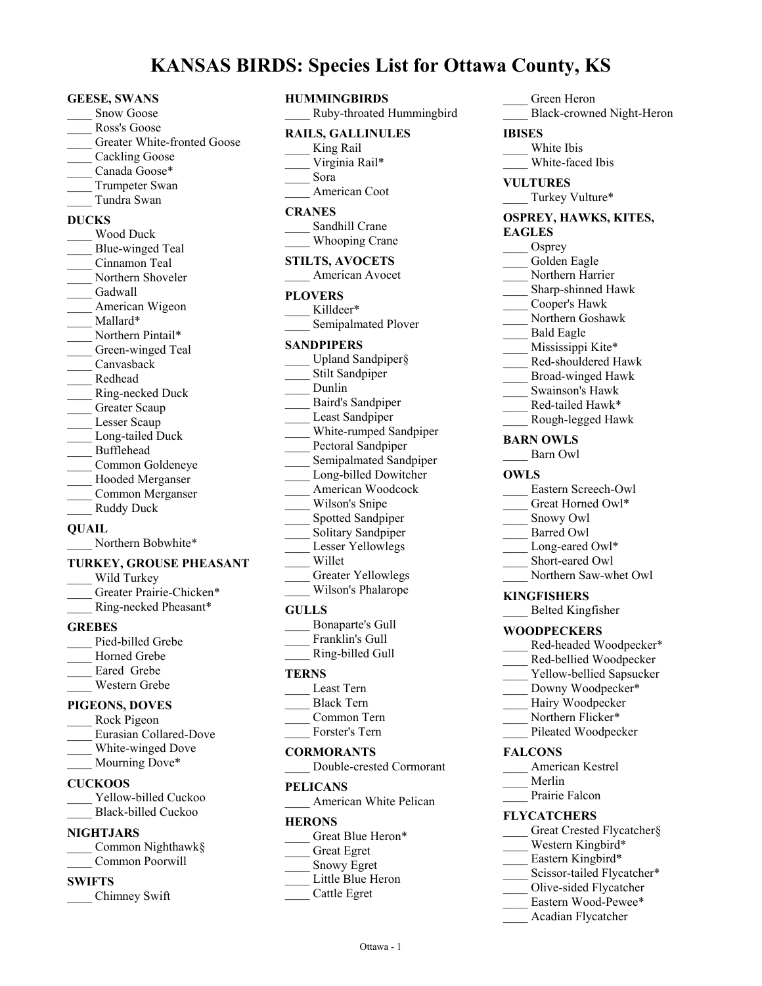# **KANSAS BIRDS: Species List for Ottawa County, KS**

#### **GEESE, SWANS**

- Snow Goose
- \_\_\_\_ Ross's Goose
- Greater White-fronted Goose
- Cackling Goose
- Canada Goose\*
- Trumpeter Swan
- \_\_\_\_ Tundra Swan

#### **DUCKS**

\_\_\_\_ Wood Duck \_\_\_\_ Blue-winged Teal \_\_\_\_ Cinnamon Teal Northern Shoveler Gadwall American Wigeon Mallard\* Northern Pintail\* Green-winged Teal \_\_\_\_ Canvasback \_\_\_\_ Redhead \_\_\_\_ Ring-necked Duck Greater Scaup Lesser Scaup Long-tailed Duck \_\_\_\_ Bufflehead \_\_\_\_ Common Goldeneye Hooded Merganser \_\_\_\_ Common Merganser Ruddy Duck

### **QUAIL**

Northern Bobwhite\*

#### **TURKEY, GROUSE PHEASANT**

| Wild Turkey              |
|--------------------------|
| Greater Prairie-Chicken* |
| Ring-necked Pheasant*    |

#### **GREBES**

Pied-billed Grebe Horned Grebe Eared Grebe \_\_\_\_ Western Grebe

# **PIGEONS, DOVES**

- \_\_\_\_ Rock Pigeon \_\_\_\_ Eurasian Collared-Dove White-winged Dove
- \_\_\_\_ Mourning Dove\*

# **CUCKOOS**

Yellow-billed Cuckoo Black-billed Cuckoo

### **NIGHTJARS**

| Common Nighthawk§ |
|-------------------|
| Common Poorwill   |

### **SWIFTS**

\_\_\_\_ Chimney Swift

- **HUMMINGBIRDS** \_\_\_\_ Ruby-throated Hummingbird **RAILS, GALLINULES** King Rail Virginia Rail\* \_\_\_\_ Sora American Coot **CRANES** Sandhill Crane Whooping Crane **STILTS, AVOCETS** \_\_\_\_ American Avocet **PLOVERS** Killdeer\* Semipalmated Plover **SANDPIPERS** Upland Sandpiper§ Stilt Sandpiper \_\_\_\_ Dunlin \_\_\_\_ Baird's Sandpiper Least Sandpiper White-rumped Sandpiper Pectoral Sandpiper Semipalmated Sandpiper Long-billed Dowitcher American Woodcock Wilson's Snipe \_\_\_\_ Spotted Sandpiper Solitary Sandpiper Lesser Yellowlegs \_\_\_\_ Willet Greater Yellowlegs Wilson's Phalarope **GULLS** \_\_\_\_ Bonaparte's Gull
- Franklin's Gull \_\_\_\_ Ring-billed Gull

### **TERNS**

- \_\_\_\_ Least Tern
- \_\_\_\_ Black Tern
- \_\_\_\_ Common Tern
- Forster's Tern

### **CORMORANTS**

\_\_\_\_ Double-crested Cormorant

#### **PELICANS**

\_\_\_\_ American White Pelican

#### **HERONS**

Great Blue Heron\*

- \_\_\_\_ Great Egret
- Snowy Egret
- Little Blue Heron
- \_\_\_\_ Cattle Egret

# \_\_\_\_ Green Heron

\_\_\_\_ Black-crowned Night-Heron

# **IBISES**

- White Ibis
- White-faced Ibis

# **VULTURES**

Turkey Vulture\*

### **OSPREY, HAWKS, KITES, EAGLES**

Osprey Golden Eagle Northern Harrier Sharp-shinned Hawk \_\_\_\_ Cooper's Hawk \_\_\_\_ Northern Goshawk \_\_\_\_ Bald Eagle Mississippi Kite\* \_\_\_\_ Red-shouldered Hawk \_\_\_\_ Broad-winged Hawk \_\_\_\_ Swainson's Hawk \_\_\_\_ Red-tailed Hawk\* \_\_\_\_ Rough-legged Hawk **BARN OWLS** \_\_\_\_ Barn Owl **OWLS** Eastern Screech-Owl Great Horned Owl\* \_\_\_\_ Snowy Owl Barred Owl Long-eared Owl\* Short-eared Owl Northern Saw-whet Owl

# **KINGFISHERS**

\_\_\_\_ Belted Kingfisher

# **WOODPECKERS**

- Red-headed Woodpecker\*
- Red-bellied Woodpecker
- Yellow-bellied Sapsucker
- Downy Woodpecker\*
- Hairy Woodpecker
- Northern Flicker\*
- Pileated Woodpecker

# **FALCONS**

- \_\_\_\_ American Kestrel
- \_\_\_\_ Merlin
	- Prairie Falcon

# **FLYCATCHERS**

- Great Crested Flycatcher§
- Western Kingbird\*
- Eastern Kingbird\*
- Scissor-tailed Flycatcher\*
- \_\_\_\_ Olive-sided Flycatcher
- Eastern Wood-Pewee\*
- \_\_\_\_ Acadian Flycatcher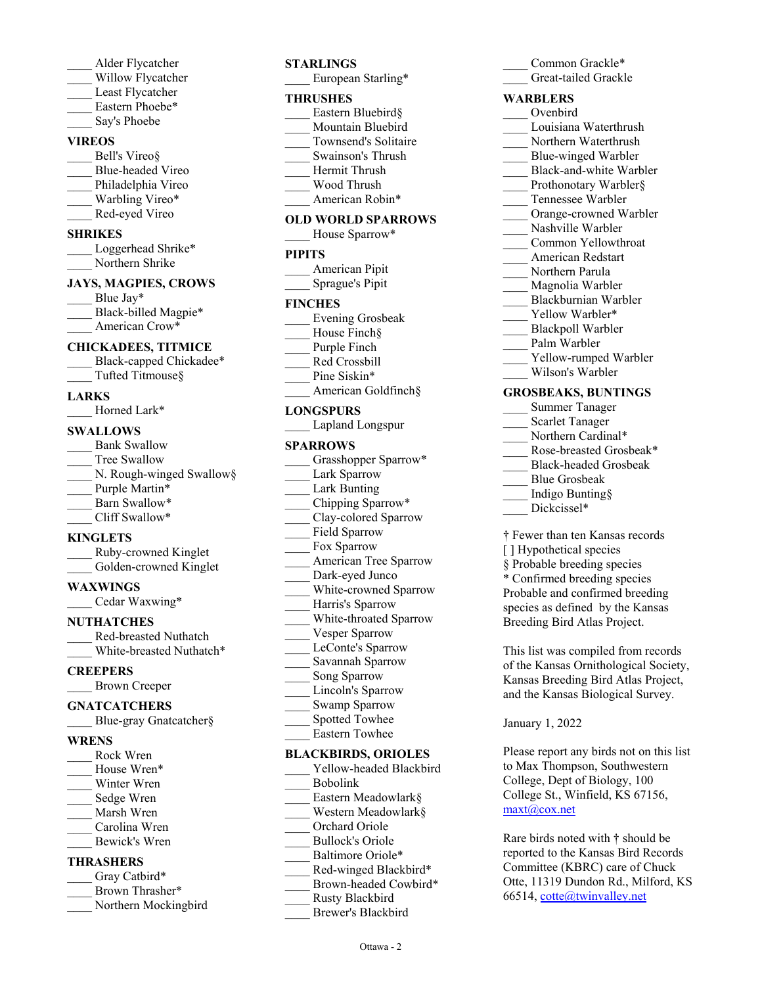- \_\_\_\_ Alder Flycatcher
- Willow Flycatcher
- Least Flycatcher
- Eastern Phoebe\*
- Say's Phoebe

# **VIREOS**

- Bell's Vireo§ \_\_\_\_ Blue-headed Vireo Philadelphia Vireo Warbling Vireo\*
- Red-eyed Vireo

# **SHRIKES**

Loggerhead Shrike\* Northern Shrike

# **JAYS, MAGPIES, CROWS**

Blue Jay\* Black-billed Magpie\* American Crow\*

# **CHICKADEES, TITMICE**

Black-capped Chickadee\* Tufted Titmouse§

### **LARKS**

Horned Lark\*

# **SWALLOWS**

Bank Swallow Tree Swallow N. Rough-winged Swallow§ Purple Martin\* Barn Swallow\* Cliff Swallow\*

### **KINGLETS**

- \_\_\_\_ Ruby-crowned Kinglet Golden-crowned Kinglet
- 

# **WAXWINGS**

\_\_\_\_ Cedar Waxwing\*

# **NUTHATCHES**

\_\_\_\_ Red-breasted Nuthatch White-breasted Nuthatch\*

### **CREEPERS**

\_\_\_\_ Brown Creeper

### **GNATCATCHERS**

Blue-gray Gnatcatcher§

#### **WRENS**

\_\_\_\_ Rock Wren House Wren\* Winter Wren Sedge Wren \_\_\_\_ Marsh Wren Carolina Wren \_\_\_\_ Bewick's Wren

# **THRASHERS**

- Gray Catbird\* Brown Thrasher\*
- Northern Mockingbird

# **STARLINGS**

European Starling\*

#### **THRUSHES**

- Eastern Bluebird§ Mountain Bluebird
- \_\_\_\_ Townsend's Solitaire
- \_\_\_\_ Swainson's Thrush
- Hermit Thrush
- \_\_\_\_ Wood Thrush
- American Robin\*

### **OLD WORLD SPARROWS**

House Sparrow\*

# **PIPITS**

| American Pipit  |
|-----------------|
| Sprague's Pipit |

### **FINCHES**

- \_\_\_\_ Evening Grosbeak House Finch§ Purple Finch \_\_\_\_ Red Crossbill
- Pine Siskin\*
- American Goldfinch§

### **LONGSPURS**

|  | Lapland Longspur |
|--|------------------|
|--|------------------|

#### **SPARROWS**

- Grasshopper Sparrow\* Lark Sparrow Lark Bunting Chipping Sparrow\* \_\_\_\_ Clay-colored Sparrow Field Sparrow Fox Sparrow American Tree Sparrow
- Dark-eyed Junco
- White-crowned Sparrow
- Harris's Sparrow
- \_\_\_\_ White-throated Sparrow
- Vesper Sparrow
- \_\_\_\_ LeConte's Sparrow
- \_\_\_\_ Savannah Sparrow
- Song Sparrow
- Lincoln's Sparrow
- Swamp Sparrow
- Spotted Towhee
- \_\_\_\_ Eastern Towhee

# **BLACKBIRDS, ORIOLES**

Yellow-headed Blackbird \_\_\_\_ Bobolink Eastern Meadowlark§ Western Meadowlark§ Orchard Oriole \_\_\_\_ Bullock's Oriole Baltimore Oriole\* Red-winged Blackbird\* Brown-headed Cowbird\* \_\_\_\_ Rusty Blackbird \_\_\_\_ Brewer's Blackbird

| Great-tailed Grackle       |  |  |  |
|----------------------------|--|--|--|
| <b>WARBLERS</b>            |  |  |  |
| Ovenbird                   |  |  |  |
| Louisiana Waterthrush      |  |  |  |
| Northern Waterthrush       |  |  |  |
| Blue-winged Warbler        |  |  |  |
| Black-and-white Warbler    |  |  |  |
| Prothonotary Warbler§      |  |  |  |
| Tennessee Warbler          |  |  |  |
| Orange-crowned Warbler     |  |  |  |
| Nashville Warbler          |  |  |  |
| Common Yellowthroat        |  |  |  |
| American Redstart          |  |  |  |
| Northern Parula            |  |  |  |
| Magnolia Warbler           |  |  |  |
| Blackburnian Warbler       |  |  |  |
| Yellow Warbler*            |  |  |  |
| <b>Blackpoll Warbler</b>   |  |  |  |
| Palm Warbler               |  |  |  |
| Yellow-rumped Warbler      |  |  |  |
| Wilson's Warbler           |  |  |  |
| <b>GROSBEAKS, BUNTINGS</b> |  |  |  |
| <b>Summer Tanager</b>      |  |  |  |
| <b>Scarlet Tanager</b>     |  |  |  |

Common Grackle\*

- 
- Northern Cardinal\* Rose-breasted Grosbeak\*
- \_\_\_\_ Black-headed Grosbeak
- \_\_\_\_ Blue Grosbeak
- \_\_\_\_ Indigo Bunting§
- Dickcissel\*
- † Fewer than ten Kansas records
- [] Hypothetical species
- § Probable breeding species
- \* Confirmed breeding species Probable and confirmed breeding species as defined by the Kansas Breeding Bird Atlas Project.

This list was compiled from records of the Kansas Ornithological Society, Kansas Breeding Bird Atlas Project, and the Kansas Biological Survey.

January 1, 2022

Please report any birds not on this list to Max Thompson, Southwestern College, Dept of Biology, 100 College St., Winfield, KS 67156, maxt@cox.net

Rare birds noted with † should be reported to the Kansas Bird Records Committee (KBRC) care of Chuck Otte, 11319 Dundon Rd., Milford, KS 66514, cotte@twinvalley.net